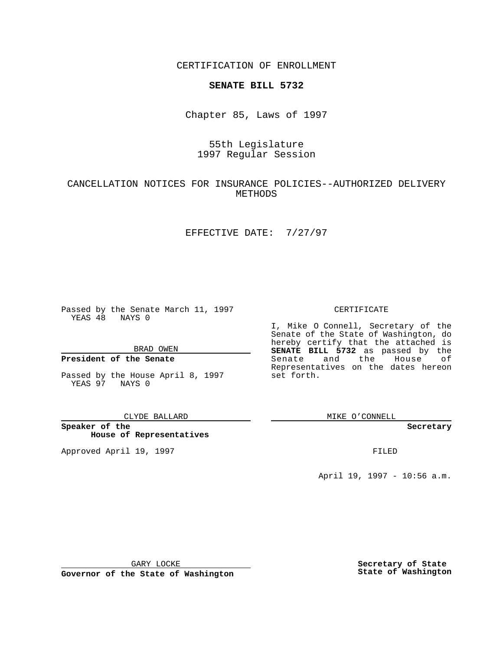CERTIFICATION OF ENROLLMENT

# **SENATE BILL 5732**

Chapter 85, Laws of 1997

# 55th Legislature 1997 Regular Session

### CANCELLATION NOTICES FOR INSURANCE POLICIES--AUTHORIZED DELIVERY METHODS

### EFFECTIVE DATE: 7/27/97

Passed by the Senate March 11, 1997 YEAS 48 NAYS 0

BRAD OWEN

### **President of the Senate**

Passed by the House April 8, 1997 YEAS 97 NAYS 0

CLYDE BALLARD

**Speaker of the House of Representatives**

Approved April 19, 1997 **FILED** 

#### CERTIFICATE

I, Mike O Connell, Secretary of the Senate of the State of Washington, do hereby certify that the attached is **SENATE BILL 5732** as passed by the Senate and the House of Representatives on the dates hereon set forth.

MIKE O'CONNELL

**Secretary**

April 19, 1997 - 10:56 a.m.

GARY LOCKE

**Governor of the State of Washington**

**Secretary of State State of Washington**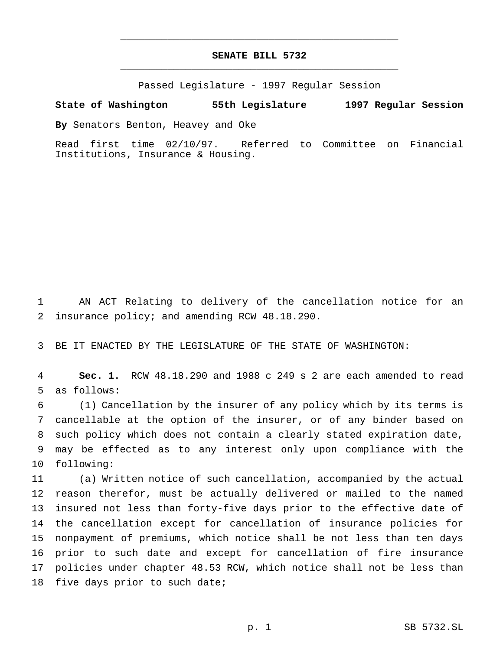# **SENATE BILL 5732** \_\_\_\_\_\_\_\_\_\_\_\_\_\_\_\_\_\_\_\_\_\_\_\_\_\_\_\_\_\_\_\_\_\_\_\_\_\_\_\_\_\_\_\_\_\_\_

\_\_\_\_\_\_\_\_\_\_\_\_\_\_\_\_\_\_\_\_\_\_\_\_\_\_\_\_\_\_\_\_\_\_\_\_\_\_\_\_\_\_\_\_\_\_\_

Passed Legislature - 1997 Regular Session

#### **State of Washington 55th Legislature 1997 Regular Session**

**By** Senators Benton, Heavey and Oke

Read first time 02/10/97. Referred to Committee on Financial Institutions, Insurance & Housing.

 AN ACT Relating to delivery of the cancellation notice for an insurance policy; and amending RCW 48.18.290.

BE IT ENACTED BY THE LEGISLATURE OF THE STATE OF WASHINGTON:

 **Sec. 1.** RCW 48.18.290 and 1988 c 249 s 2 are each amended to read as follows:

 (1) Cancellation by the insurer of any policy which by its terms is cancellable at the option of the insurer, or of any binder based on such policy which does not contain a clearly stated expiration date, may be effected as to any interest only upon compliance with the following:

 (a) Written notice of such cancellation, accompanied by the actual reason therefor, must be actually delivered or mailed to the named insured not less than forty-five days prior to the effective date of the cancellation except for cancellation of insurance policies for nonpayment of premiums, which notice shall be not less than ten days prior to such date and except for cancellation of fire insurance policies under chapter 48.53 RCW, which notice shall not be less than five days prior to such date;